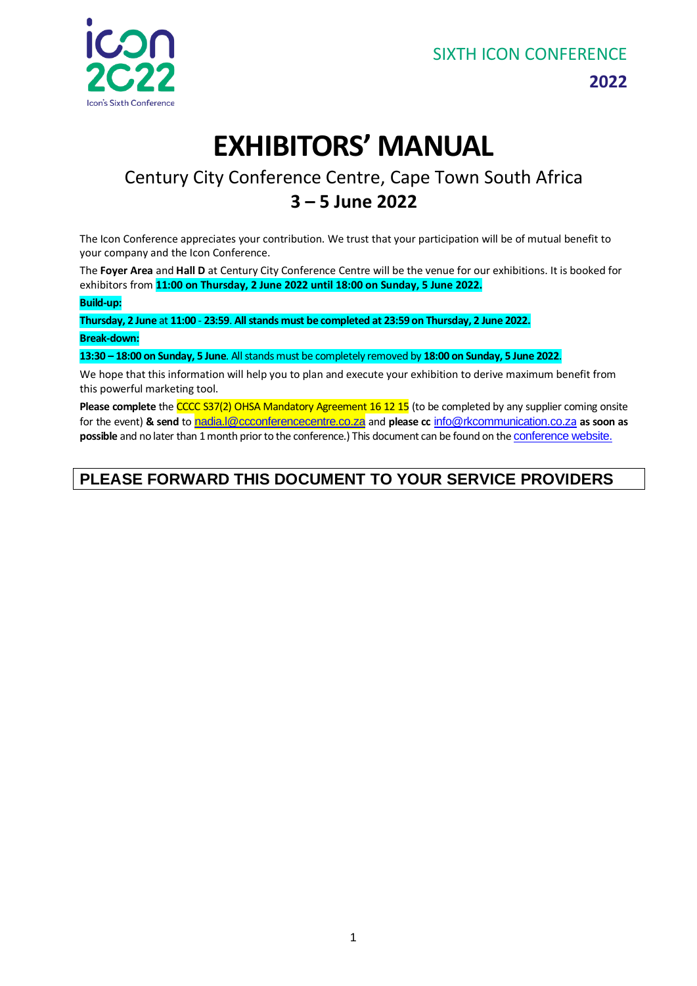

**2022**

# **EXHIBITORS' MANUAL**

# Century City Conference Centre, Cape Town South Africa **3 – 5 June 2022**

The Icon Conference appreciates your contribution. We trust that your participation will be of mutual benefit to your company and the Icon Conference.

The **Foyer Area** and **Hall D** at Century City Conference Centre will be the venue for our exhibitions. It is booked for exhibitors from **11:00 on Thursday, 2 June 2022 until 18:00 on Sunday, 5 June 2022.**

**Build-up:** 

**Thursday, 2 June** at **11:00** - **23:59**. **All stands must be completed at 23:59 on Thursday, 2 June 2022. Break-down:** 

**13:30 – 18:00 on Sunday, 5 June**. All stands must be completely removed by **18:00 on Sunday, 5 June 2022**.

We hope that this information will help you to plan and execute your exhibition to derive maximum benefit from this powerful marketing tool.

Please complete the CCCC S37(2) OHSA Mandatory Agreement 16 12 15 (to be completed by any supplier coming onsite for the event) **& send** to [nadia.l@ccconferencecentre.co.za](mailto:nadia.l@ccconferencecentre.co.za) and **please cc** [info@rkcommunication.co.z](mailto:info@rkcommunication.co.za)[a](mailto:info@rkcommunication.co.za) **as soon as possible** and no later than 1 month prior to the conference.) This document can be found on the [conference website.](https://www.icon2020.co.za/sponsorships)

# **PLEASE FORWARD THIS DOCUMENT TO YOUR SERVICE PROVIDERS**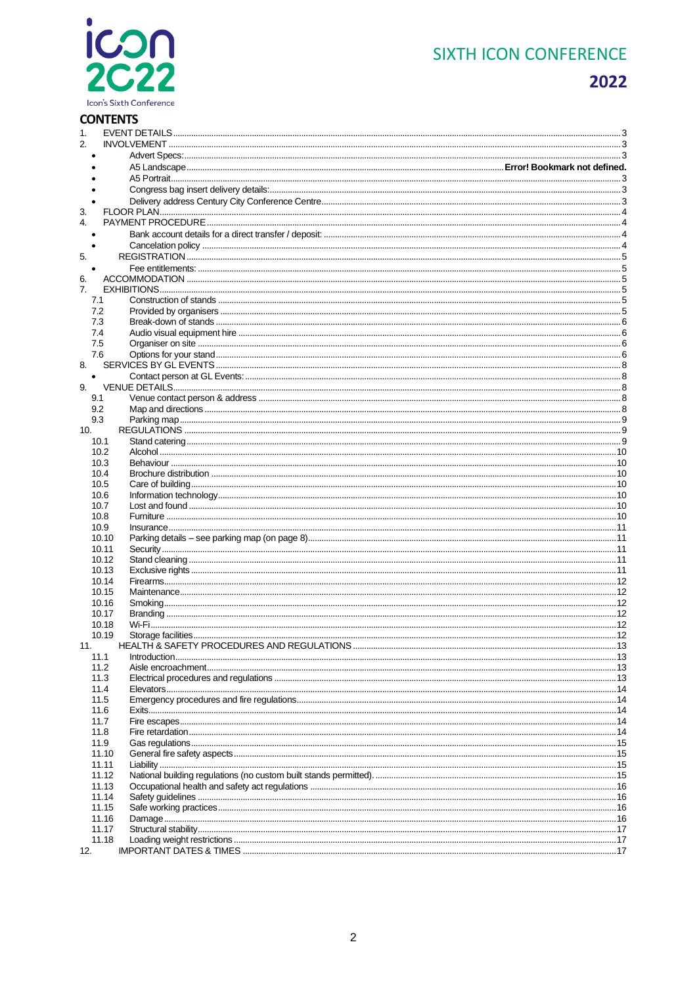# icon<br>2C22 Icon's Sixth Conference

# **SIXTH ICON CONFERENCE**

# 2022

# **CONTENTS**

| 1.        |  |
|-----------|--|
| 2.        |  |
|           |  |
|           |  |
|           |  |
|           |  |
|           |  |
| 3.        |  |
| 4.        |  |
|           |  |
|           |  |
| 5.        |  |
|           |  |
| 6.        |  |
| 7.        |  |
| 7.1       |  |
| 7.2       |  |
| 7.3       |  |
| 7.4       |  |
| 7.5       |  |
| 7.6       |  |
| 8.        |  |
| $\bullet$ |  |
| 9.        |  |
| 9.1       |  |
| 9.2       |  |
| 9.3       |  |
| 10.       |  |
| 10.1      |  |
| 10.2      |  |
| 10.3      |  |
| 10.4      |  |
| 10.5      |  |
| 10.6      |  |
| 10.7      |  |
| 10.8      |  |
| 10.9      |  |
| 10.10     |  |
| 10.11     |  |
| 10.12     |  |
| 10.13     |  |
| 10.14     |  |
| 10.15     |  |
| 10.16     |  |
| 10.17     |  |
| 10.18     |  |
| 10.19     |  |
| 11.       |  |
| 11.1      |  |
| 11.2      |  |
| 11.3      |  |
| 11.4      |  |
| 11.5      |  |
| 11.6      |  |
| 11.7      |  |
| 11.8      |  |
| 11.9      |  |
| 11.10     |  |
| 11.11     |  |
| 11.12     |  |
| 11.13     |  |
| 11.14     |  |
| 11.15     |  |
| 11.16     |  |
| 11.17     |  |
| 11.18     |  |
| 12.       |  |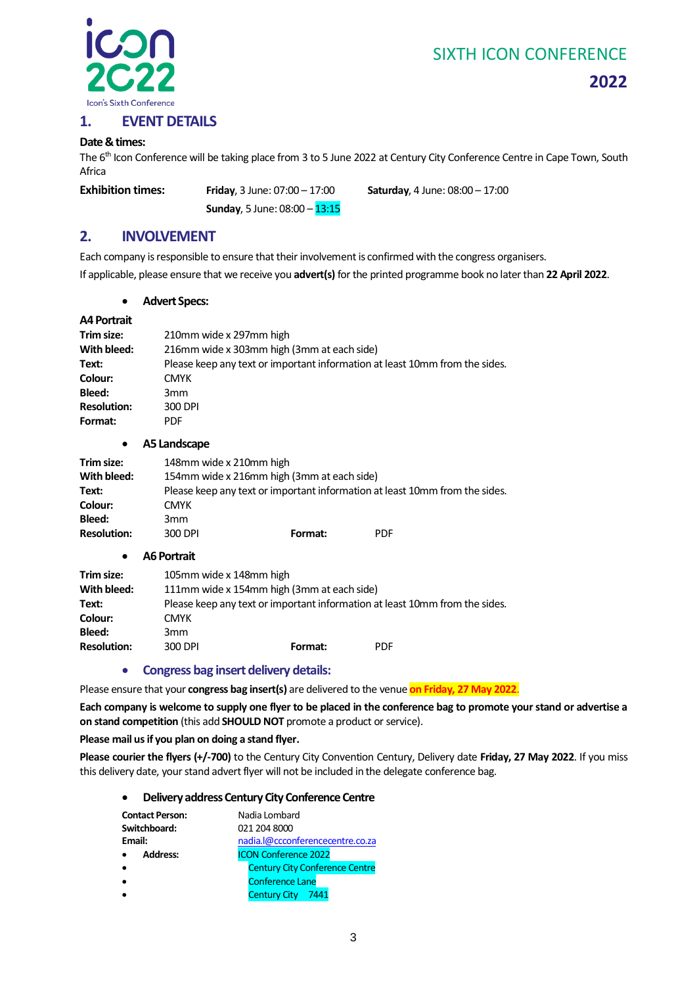

**2022**

#### <span id="page-2-0"></span>**1. EVENT DETAILS**

#### **Date & times:**

The 6<sup>th</sup> Icon Conference will be taking place from 3 to 5 June 2022 at Century City Conference Centre in Cape Town, South Africa

**Sunday**, 5 June: 08:00 – 13:15

**Exhibition times: Friday**, 3 June: 07:00 – 17:00 **Saturday**, 4 June: 08:00 – 17:00

### <span id="page-2-1"></span>**2. INVOLVEMENT**

Each company is responsible to ensure that their involvement is confirmed with the congress organisers. If applicable, please ensure that we receive you **advert(s)** for the printed programme book no later than **22 April 2022**.

#### • **Advert Specs:**

#### <span id="page-2-2"></span>**A4 Portrait**

| Trim size:         | 210mm wide x 297mm high                                                     |  |  |
|--------------------|-----------------------------------------------------------------------------|--|--|
| With bleed:        | 216mm wide x 303mm high (3mm at each side)                                  |  |  |
| Text:              | Please keep any text or important information at least 10mm from the sides. |  |  |
| Colour:            | <b>CMYK</b>                                                                 |  |  |
| Bleed:             | 3mm                                                                         |  |  |
| <b>Resolution:</b> | 300 DPI                                                                     |  |  |
| Format:            | <b>PDF</b>                                                                  |  |  |
|                    |                                                                             |  |  |

#### • **A5 Landscape**

<span id="page-2-3"></span>

| Trim size:         | 148mm wide x 210mm high                                                     |         |            |
|--------------------|-----------------------------------------------------------------------------|---------|------------|
| With bleed:        | 154mm wide x 216mm high (3mm at each side)                                  |         |            |
| Text:              | Please keep any text or important information at least 10mm from the sides. |         |            |
| Colour:            | <b>CMYK</b>                                                                 |         |            |
| Bleed:             | 3 <sub>mm</sub>                                                             |         |            |
| <b>Resolution:</b> | 300 DPI                                                                     | Format: | <b>PDF</b> |

#### • **A6 Portrait**

| Trim size:         | 105mm wide x 148mm high                                                     |                                            |            |  |
|--------------------|-----------------------------------------------------------------------------|--------------------------------------------|------------|--|
| With bleed:        |                                                                             | 111mm wide x 154mm high (3mm at each side) |            |  |
| Text:              | Please keep any text or important information at least 10mm from the sides. |                                            |            |  |
| Colour:            | <b>CMYK</b>                                                                 |                                            |            |  |
| <b>Bleed:</b>      | 3 <sub>mm</sub>                                                             |                                            |            |  |
| <b>Resolution:</b> | 300 DPI                                                                     | Format:                                    | <b>PDF</b> |  |

#### • **Congress bag insert delivery details:**

<span id="page-2-4"></span>Please ensure that your **congress bag insert(s)** are delivered to the venue **on Friday, 27 May 2022**.

**Each company is welcome to supply one flyer to be placed in the conference bag to promote your stand or advertise a on stand competition** (this add **SHOULD NOT** promote a product or service).

#### **Please mail us if you plan on doing a stand flyer.**

<span id="page-2-5"></span>**Please courier the flyers (+/-700)** to the Century City Convention Century, Delivery date **Friday, 27 May 2022**. If you miss this delivery date, your stand advert flyer will not be included in the delegate conference bag.

#### • **Delivery address Century City Conference Centre**

| <b>Contact Person:</b> | Nadia Lombard                         |
|------------------------|---------------------------------------|
| Switchboard:           | 021 204 8000                          |
| Email:                 | nadia.l@ccconferencecentre.co.za      |
| Address:               | <b>ICON Conference 2022</b>           |
|                        | <b>Century City Conference Centre</b> |
|                        | <b>Conference Lane</b>                |
|                        | Century City 7441                     |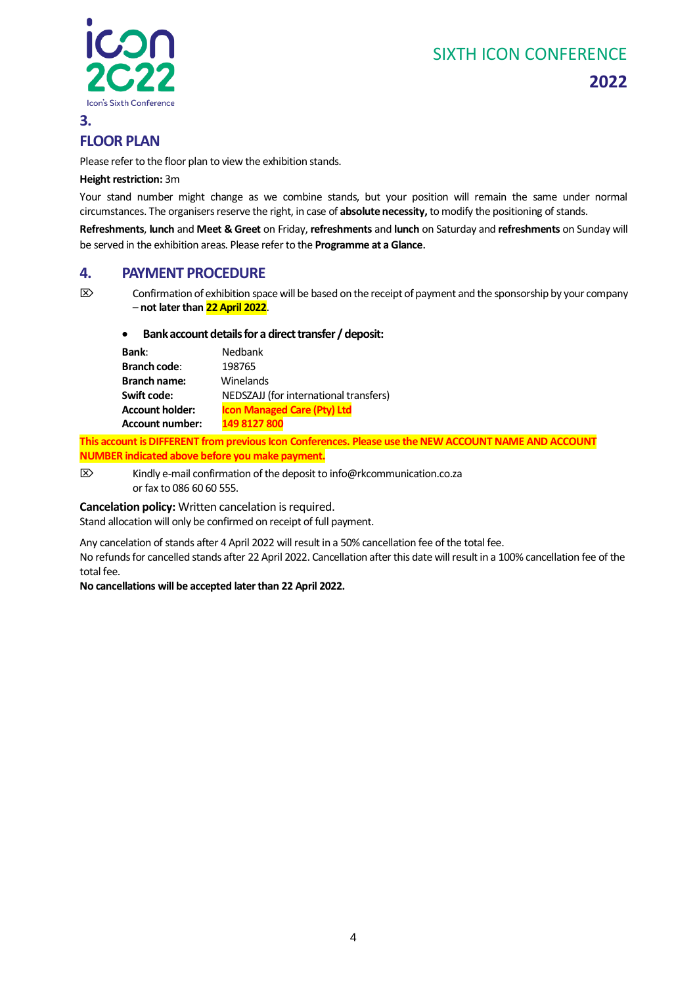

## **2022**

# <span id="page-3-0"></span>**FLOOR PLAN**

Please refer to the floor plan to view the exhibition stands.

#### **Height restriction:** 3m

Your stand number might change as we combine stands, but your position will remain the same under normal circumstances. The organisers reserve the right, in case of **absolute necessity,** to modify the positioning of stands.

**Refreshments**, **lunch** and **Meet & Greet** on Friday, **refreshments** and **lunch** on Saturday and **refreshments** on Sunday will be served in the exhibition areas. Please refer to the **Programme at a Glance**.

#### <span id="page-3-1"></span>**4. PAYMENT PROCEDURE**

<span id="page-3-2"></span> $\boxtimes$  Confirmation of exhibition space will be based on the receipt of payment and the sponsorship by your company – **not later than 22 April 2022**.

#### • **Bank account details for a direct transfer / deposit:**

| Bank:                  | Nedbank                                |
|------------------------|----------------------------------------|
| <b>Branch code:</b>    | 198765                                 |
| <b>Branch name:</b>    | Winelands                              |
| Swift code:            | NEDSZAJJ (for international transfers) |
| <b>Account holder:</b> | <b>Icon Managed Care (Pty) Ltd</b>     |
| <b>Account number:</b> | 149 8127 800                           |
|                        |                                        |

**This account is DIFFERENT from previous Icon Conferences. Please use the NEW ACCOUNT NAME AND ACCOUNT NUMBER indicated above before you make payment.**

 $\boxtimes$  Kindly e-mail confirmation of the deposit t[o info@rkcommunication.co.za](mailto:info@rkcommunication.co.za) or fax to 086 60 60 555.

<span id="page-3-3"></span>**Cancelation policy:** Written cancelation is required.

Stand allocation will only be confirmed on receipt of full payment.

Any cancelation of stands after 4 April 2022 will result in a 50% cancellation fee of the total fee.

No refunds for cancelled stands after 22 April 2022. Cancellation after this date will result in a 100% cancellation fee of the total fee.

#### **No cancellations will be accepted later than 22 April 2022.**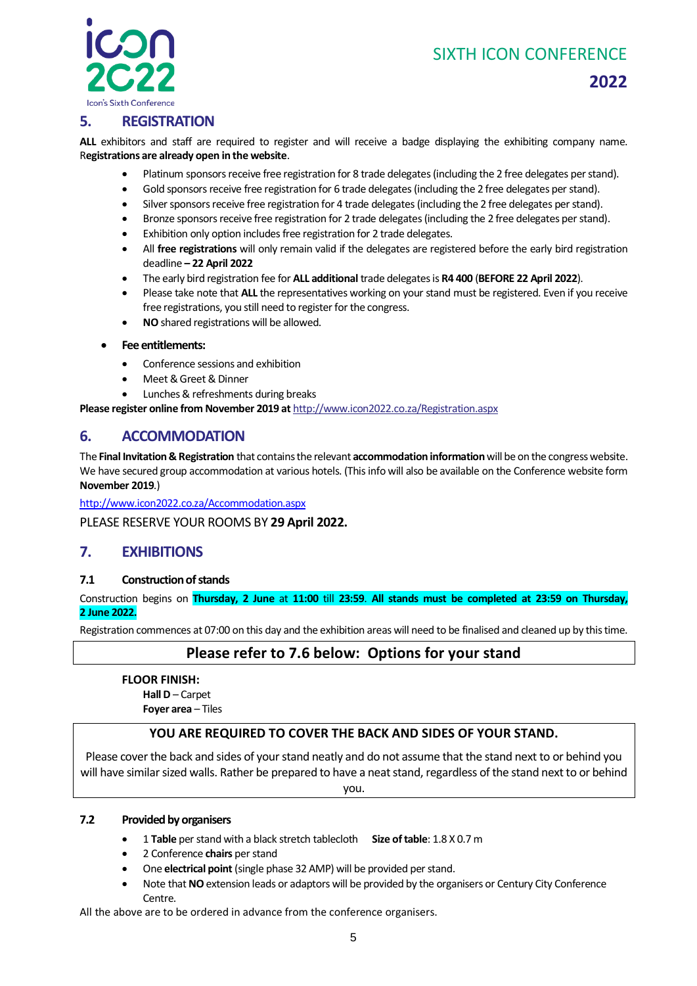

# **2022**

### <span id="page-4-0"></span>**5. REGISTRATION**

**ALL** exhibitors and staff are required to register and will receive a badge displaying the exhibiting company name. R**egistrations are already open in the website**.

- Platinum sponsors receive free registration for 8 trade delegates (including the 2 free delegates per stand).
- Gold sponsors receive free registration for 6 trade delegates (including the 2 free delegates per stand).
- Silver sponsors receive free registration for 4 trade delegates(including the 2 free delegates per stand).
- Bronze sponsors receive free registration for 2 trade delegates(including the 2 free delegates per stand).
- Exhibition only option includes free registration for 2 trade delegates.
- All **free registrations** will only remain valid if the delegates are registered before the early bird registration deadline **– 22 April 2022**
- The early bird registration fee for **ALL additional** trade delegates is **R4 400** (**BEFORE 22 April 2022**).
- Please take note that **ALL** the representatives working on your stand must be registered. Even if you receive free registrations, you still need to register for the congress.
- **NO** shared registrations will be allowed.

#### <span id="page-4-1"></span>• **Fee entitlements:**

- Conference sessions and exhibition
- Meet & Greet & Dinner
- Lunches & refreshments during breaks

**Please register online from November 2019 at** [http://www.icon2022.co.za/Registration.aspx](http://www.icon2020.co.za/Registration.aspx)

#### <span id="page-4-2"></span>**6. ACCOMMODATION**

The **Final Invitation & Registration** that contains the relevant **accommodation information**will be on the congress website. We have secured group accommodation at various hotels. (This info will also be available on the Conference website form **November 2019**.)

[http://www.icon2022.co.za/Accommodation.aspx](http://www.icon2020.co.za/Accommodation.aspx)

PLEASE RESERVE YOUR ROOMS BY **29 April 2022.**

#### <span id="page-4-3"></span>**7. EXHIBITIONS**

#### <span id="page-4-4"></span>**7.1 Construction of stands**

Construction begins on **Thursday, 2 June** at **11:00** till **23:59**. **All stands must be completed at 23:59 on Thursday, 2 June 2022.**

Registration commences at 07:00 on this day and the exhibition areas will need to be finalised and cleaned up by this time.

#### **Please refer to 7.6 below: Options for your stand**

**FLOOR FINISH: Hall D** – Carpet **Foyer area** – Tiles

#### **YOU ARE REQUIRED TO COVER THE BACK AND SIDES OF YOUR STAND.**

Please cover the back and sides of your stand neatly and do not assume that the stand next to or behind you will have similar sized walls. Rather be prepared to have a neat stand, regardless of the stand next to or behind

you.

#### <span id="page-4-5"></span>**7.2 Provided by organisers**

- 1 **Table** per stand with a black stretch tablecloth **Size of table**: 1.8 X 0.7 m
- 2 Conference **chairs** per stand
- One **electrical point** (single phase 32 AMP) will be provided per stand.
- Note that **NO** extension leads or adaptors will be provided by the organisers or Century City Conference Centre.

All the above are to be ordered in advance from the conference organisers.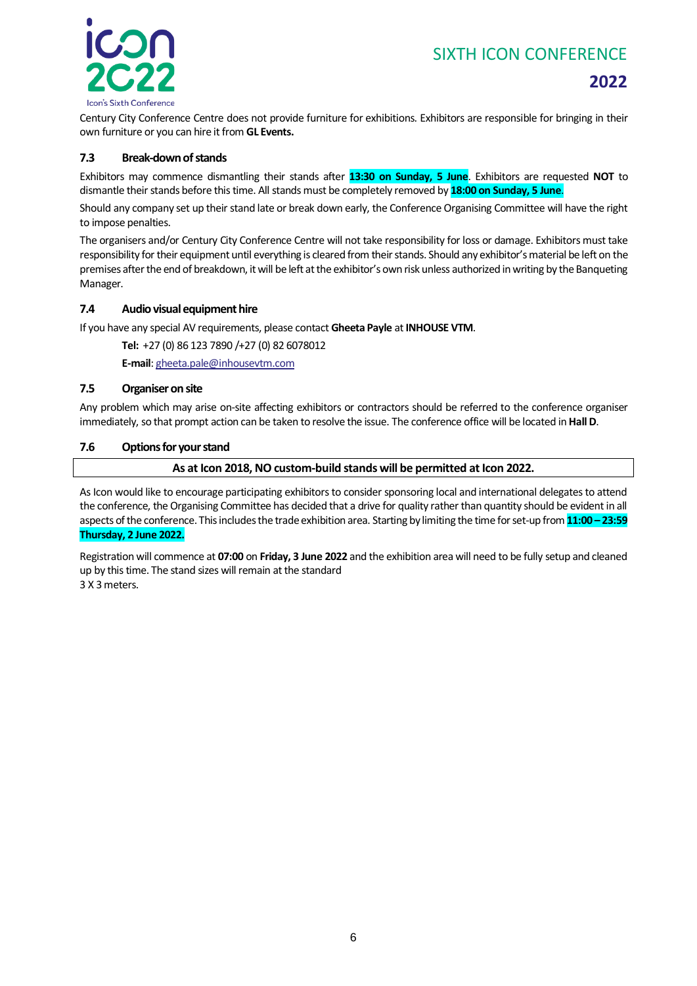

Century City Conference Centre does not provide furniture for exhibitions. Exhibitors are responsible for bringing in their own furniture or you can hire it from **GL Events.**

#### <span id="page-5-0"></span>**7.3 Break-down of stands**

Exhibitors may commence dismantling their stands after **13:30 on Sunday, 5 June**. Exhibitors are requested **NOT** to dismantle their stands before this time. All stands must be completely removed by **18:00 on Sunday, 5 June**.

Should any company set up their stand late or break down early, the Conference Organising Committee will have the right to impose penalties.

The organisers and/or Century City Conference Centre will not take responsibility for loss or damage. Exhibitors must take responsibility for their equipment until everything is cleared from their stands. Should any exhibitor's material be left on the premises after the end of breakdown, it will be left at the exhibitor's own risk unless authorized in writing by the Banqueting Manager.

#### <span id="page-5-1"></span>**7.4 Audio visual equipment hire**

If you have any special AV requirements, please contact **Gheeta Payle** at **INHOUSE VTM**.

**Tel:** +27 (0) 86 123 7890 /+27 (0) 82 6078012

**E-mail**[: gheeta.pale@inhousevtm.com](mailto:gheeta.pale@inhousevtm.com)

#### <span id="page-5-2"></span>**7.5 Organiser on site**

Any problem which may arise on-site affecting exhibitors or contractors should be referred to the conference organiser immediately, so that prompt action can be taken to resolve the issue. The conference office will be located in **Hall D**.

#### <span id="page-5-3"></span>**7.6 Options for your stand**

**As at Icon 2018, NO custom-build stands will be permitted at Icon 2022.**

As Icon would like to encourage participating exhibitors to consider sponsoring local and international delegates to attend the conference, the Organising Committee has decided that a drive for quality rather than quantity should be evident in all aspects of the conference. This includes the trade exhibition area. Starting by limiting the time for set-up from **11:00 – 23:59 Thursday, 2 June 2022.**

Registration will commence at **07:00** on **Friday, 3 June 2022** and the exhibition area will need to be fully setup and cleaned up by this time. The stand sizes will remain at the standard 3 X 3 meters.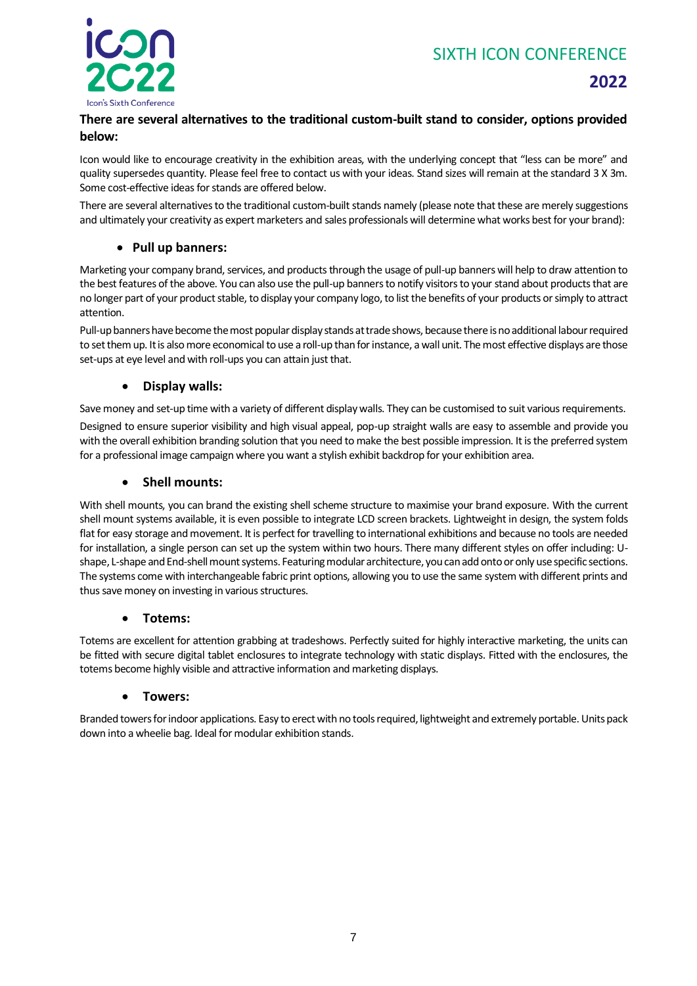

### **2022**

#### **There are several alternatives to the traditional custom-built stand to consider, options provided below:**

Icon would like to encourage creativity in the exhibition areas, with the underlying concept that "less can be more" and quality supersedes quantity. Please feel free to contact us with your ideas. Stand sizes will remain at the standard 3 X 3m. Some cost-effective ideas for stands are offered below.

There are several alternatives to the traditional custom-built stands namely (please note that these are merely suggestions and ultimately your creativity as expert marketers and sales professionals will determine what works best for your brand):

#### • **Pull up banners:**

Marketing your company brand, services, and products through the usage of pull-up banners will help to draw attention to the best features of the above. You can also use the pull-up banners to notify visitors to your stand about products that are no longer part of your product stable, to display your company logo, to list the benefits of your products or simply to attract attention.

Pull-up banners have become the most popular display stands at trade shows, because there is no additional labour required to set them up. It is also more economical to use a roll-up than for instance, a wall unit. The most effective displays are those set-ups at eye level and with roll-ups you can attain just that.

#### • **Display walls:**

Save money and set-up time with a variety of different display walls. They can be customised to suit various requirements.

Designed to ensure superior visibility and high visual appeal, pop-up straight walls are easy to assemble and provide you with the overall exhibition branding solution that you need to make the best possible impression. It is the preferred system for a professional image campaign where you want a stylish exhibit backdrop for your exhibition area.

#### • **Shell mounts:**

With shell mounts, you can brand the existing shell scheme structure to maximise your brand exposure. With the current shell mount systems available, it is even possible to integrate LCD screen brackets. Lightweight in design, the system folds flat for easy storage and movement. It is perfect for travelling to international exhibitions and because no tools are needed for installation, a single person can set up the system within two hours. There many different styles on offer including: Ushape, L-shape and End-shell mount systems. Featuring modular architecture, you can add onto or only use specific sections. The systems come with interchangeable fabric print options, allowing you to use the same system with different prints and thus save money on investing in various structures.

#### • **Totems:**

Totems are excellent for attention grabbing at tradeshows. Perfectly suited for highly interactive marketing, the units can be fitted with secure digital tablet enclosures to integrate technology with static displays. Fitted with the enclosures, the totems become highly visible and attractive information and marketing displays.

#### • **Towers:**

Branded towers for indoor applications. Easy to erect with no tools required, lightweight and extremely portable. Units pack down into a wheelie bag. Ideal for modular exhibition stands.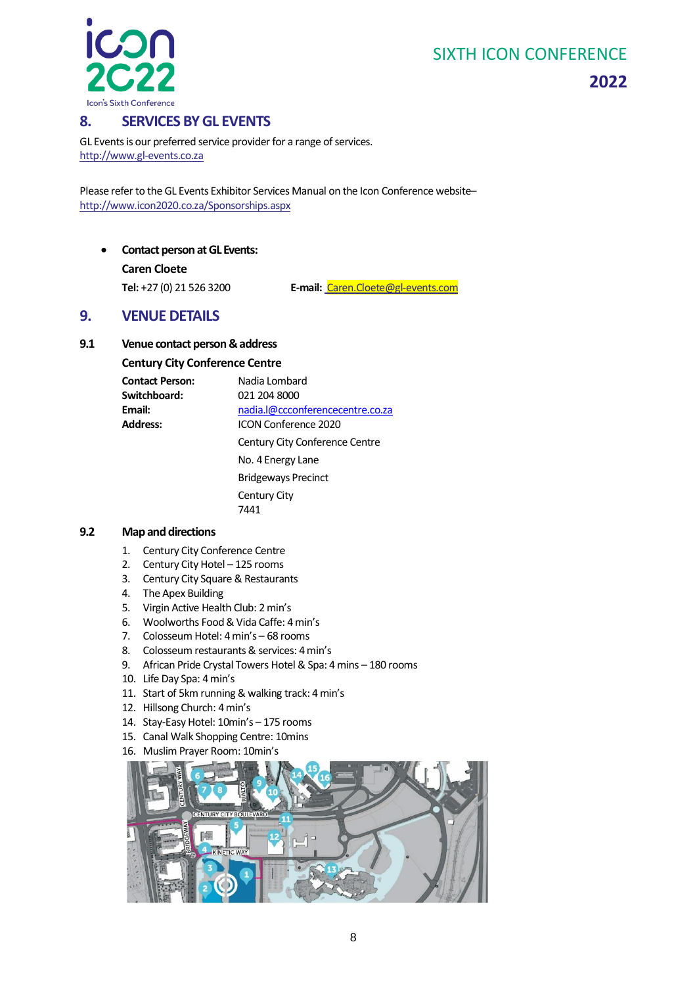

**2022**

### <span id="page-7-0"></span>**8. SERVICES BY GL EVENTS**

GL Events is our preferred service provider for a range of services. [http://www.gl-events.co.za](http://www.gl-events.co.za/)

Please refer to the GL Events Exhibitor Services Manual on the Icon Conference website– <http://www.icon2020.co.za/Sponsorships.aspx>

<span id="page-7-1"></span>• **Contact person at GL Events: Caren Cloete**

**Tel:** +27 (0) 21 526 3200 **E-mail:** [Caren.Cloete@gl-events.com](mailto:Caren.Cloete@gl-events.com)

### <span id="page-7-2"></span>**9. VENUE DETAILS**

#### <span id="page-7-3"></span>**9.1 Venue contact person & address**

#### **Century City Conference Centre**

| <b>Contact Person:</b> | Nadia Lombard                    |
|------------------------|----------------------------------|
| Switchboard:           | 021 204 8000                     |
| Email:                 | nadia.l@ccconferencecentre.co.za |
| <b>Address:</b>        | <b>ICON Conference 2020</b>      |
|                        | Century City Conference Centre   |
|                        | No. 4 Energy Lane                |
|                        | <b>Bridgeways Precinct</b>       |
|                        | Century City                     |
|                        | 7441                             |

#### <span id="page-7-4"></span>**9.2 Map and directions**

- 1. Century City Conference Centre
- 2. Century City Hotel 125 rooms
- 3. Century City Square & Restaurants
- 4. The Apex Building
- 5. Virgin Active Health Club: 2 min's
- 6. Woolworths Food & Vida Caffe: 4 min's
- 7. Colosseum Hotel: 4 min's 68 rooms
- 8. Colosseum restaurants & services: 4 min's
- 9. African Pride Crystal Towers Hotel & Spa: 4 mins 180 rooms
- 10. Life Day Spa: 4 min's
- 11. Start of 5km running & walking track: 4 min's
- 12. Hillsong Church: 4 min's
- 14. Stay-Easy Hotel: 10min's 175 rooms
- 15. Canal Walk Shopping Centre: 10mins
- 16. Muslim Prayer Room: 10min's

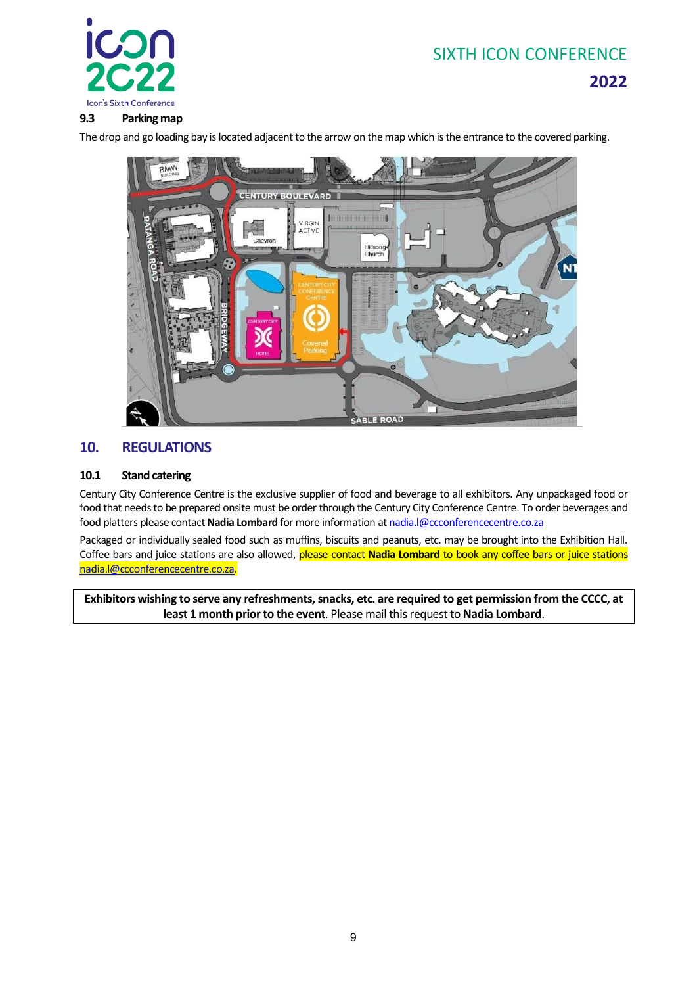

#### <span id="page-8-0"></span>**9.3 Parking map**

The drop and go loading bay is located adjacent to the arrow on the map which is the entrance to the covered parking.



### <span id="page-8-1"></span>**10. REGULATIONS**

#### <span id="page-8-2"></span>**10.1 Stand catering**

Century City Conference Centre is the exclusive supplier of food and beverage to all exhibitors. Any unpackaged food or food that needs to be prepared onsite must be order through the Century City Conference Centre. To order beverages and food platters please contact **Nadia Lombard** for more information at [nadia.l@ccconferencecentre.co.za](mailto:nadia.l@ccconferencecentre.co.za)

Packaged or individually sealed food such as muffins, biscuits and peanuts, etc. may be brought into the Exhibition Hall. Coffee bars and juice stations are also allowed, please contact **Nadia Lombard** to book any coffee bars or juice stations [nadia.l@ccconferencecentre.co.za.](mailto:nadia.l@ccconferencecentre.co.za)

**Exhibitors wishing to serve any refreshments, snacks, etc. are required to get permission from the CCCC, at least 1 month prior to the event**. Please mail this request to **Nadia Lombard**.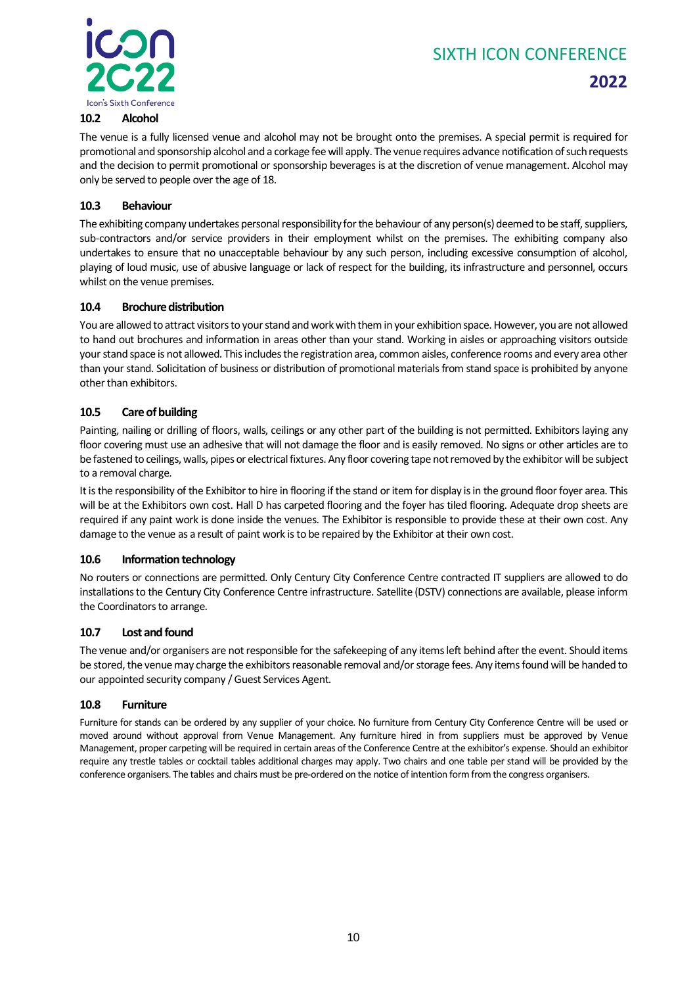

# **2022**

#### <span id="page-9-0"></span>**10.2 Alcohol**

The venue is a fully licensed venue and alcohol may not be brought onto the premises. A special permit is required for promotional and sponsorship alcohol and a corkage fee will apply. The venue requires advance notification of such requests and the decision to permit promotional or sponsorship beverages is at the discretion of venue management. Alcohol may only be served to people over the age of 18.

#### <span id="page-9-1"></span>**10.3 Behaviour**

The exhibiting company undertakes personal responsibility for the behaviour of any person(s) deemed to be staff, suppliers, sub-contractors and/or service providers in their employment whilst on the premises. The exhibiting company also undertakes to ensure that no unacceptable behaviour by any such person, including excessive consumption of alcohol, playing of loud music, use of abusive language or lack of respect for the building, its infrastructure and personnel, occurs whilst on the venue premises.

#### <span id="page-9-2"></span>**10.4 Brochure distribution**

You are allowed to attract visitors to your stand and work with them in your exhibition space. However, you are not allowed to hand out brochures and information in areas other than your stand. Working in aisles or approaching visitors outside your stand space is not allowed. This includes the registration area, common aisles, conference rooms and every area other than your stand. Solicitation of business or distribution of promotional materials from stand space is prohibited by anyone other than exhibitors.

#### <span id="page-9-3"></span>**10.5 Care of building**

Painting, nailing or drilling of floors, walls, ceilings or any other part of the building is not permitted. Exhibitors laying any floor covering must use an adhesive that will not damage the floor and is easily removed. No signs or other articles are to be fastened to ceilings, walls, pipes or electrical fixtures. Any floor covering tape not removed by the exhibitor will be subject to a removal charge.

It is the responsibility of the Exhibitor to hire in flooring if the stand or item for display is in the ground floor foyer area. This will be at the Exhibitors own cost. Hall D has carpeted flooring and the foyer has tiled flooring. Adequate drop sheets are required if any paint work is done inside the venues. The Exhibitor is responsible to provide these at their own cost. Any damage to the venue as a result of paint work is to be repaired by the Exhibitor at their own cost.

#### <span id="page-9-4"></span>**10.6 Information technology**

No routers or connections are permitted. Only Century City Conference Centre contracted IT suppliers are allowed to do installations to the Century City Conference Centre infrastructure. Satellite (DSTV) connections are available, please inform the Coordinators to arrange.

#### <span id="page-9-5"></span>**10.7 Lost and found**

The venue and/or organisers are not responsible for the safekeeping of any items left behind after the event. Should items be stored, the venue may charge the exhibitors reasonable removal and/or storage fees. Any items found will be handed to our appointed security company / Guest Services Agent.

#### <span id="page-9-6"></span>**10.8 Furniture**

Furniture for stands can be ordered by any supplier of your choice. No furniture from Century City Conference Centre will be used or moved around without approval from Venue Management. Any furniture hired in from suppliers must be approved by Venue Management, proper carpeting will be required in certain areas of the Conference Centre at the exhibitor's expense. Should an exhibitor require any trestle tables or cocktail tables additional charges may apply. Two chairs and one table per stand will be provided by the conference organisers. The tables and chairs must be pre-ordered on the notice of intention form from the congress organisers.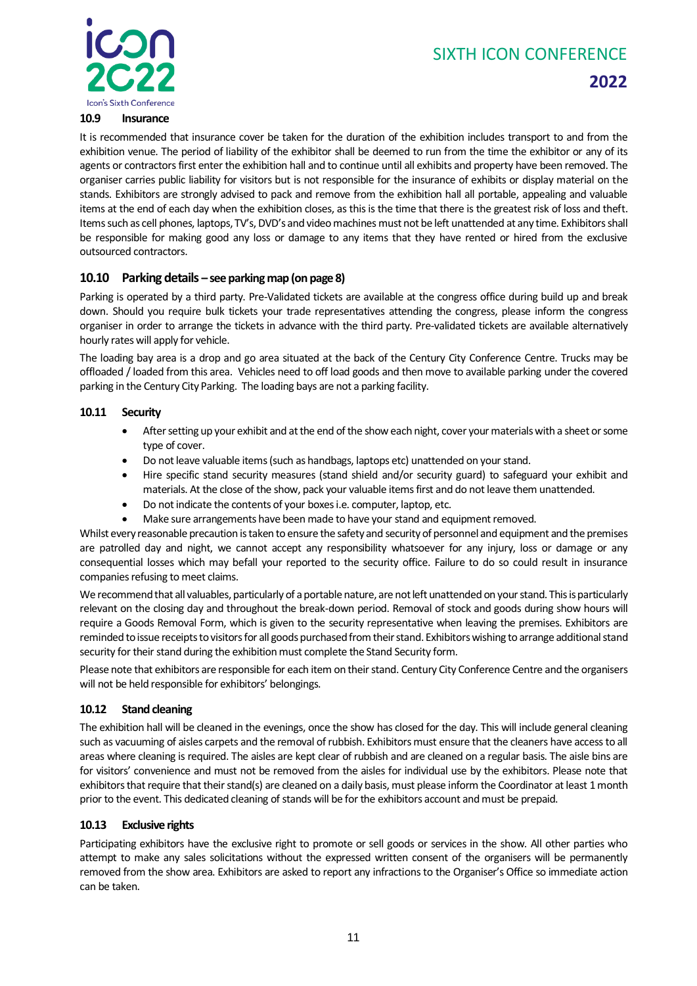**2022**



#### <span id="page-10-0"></span>**10.9 Insurance**

It is recommended that insurance cover be taken for the duration of the exhibition includes transport to and from the exhibition venue. The period of liability of the exhibitor shall be deemed to run from the time the exhibitor or any of its agents or contractors first enter the exhibition hall and to continue until all exhibits and property have been removed. The organiser carries public liability for visitors but is not responsible for the insurance of exhibits or display material on the stands. Exhibitors are strongly advised to pack and remove from the exhibition hall all portable, appealing and valuable items at the end of each day when the exhibition closes, as this is the time that there is the greatest risk of loss and theft. Items such as cell phones, laptops, TV's, DVD's and video machines must not be left unattended at any time. Exhibitors shall be responsible for making good any loss or damage to any items that they have rented or hired from the exclusive outsourced contractors.

#### <span id="page-10-1"></span>**10.10 Parking details – see parking map (on page 8)**

Parking is operated by a third party. Pre-Validated tickets are available at the congress office during build up and break down. Should you require bulk tickets your trade representatives attending the congress, please inform the congress organiser in order to arrange the tickets in advance with the third party. Pre-validated tickets are available alternatively hourly rates will apply for vehicle.

The loading bay area is a drop and go area situated at the back of the Century City Conference Centre. Trucks may be offloaded / loaded from this area. Vehicles need to off load goods and then move to available parking under the covered parking in the Century City Parking. The loading bays are not a parking facility.

#### <span id="page-10-2"></span>**10.11 Security**

- After setting up your exhibit and at the end of the show each night, cover your materials with a sheet or some type of cover.
- Do not leave valuable items (such as handbags, laptops etc) unattended on your stand.
- Hire specific stand security measures (stand shield and/or security guard) to safeguard your exhibit and materials. At the close of the show, pack your valuable items first and do not leave them unattended.
- Do not indicate the contents of your boxes i.e. computer, laptop, etc.
- Make sure arrangements have been made to have your stand and equipment removed.

Whilst every reasonable precaution is taken to ensure the safety and security of personnel and equipment and the premises are patrolled day and night, we cannot accept any responsibility whatsoever for any injury, loss or damage or any consequential losses which may befall your reported to the security office. Failure to do so could result in insurance companies refusing to meet claims.

We recommend that all valuables, particularly of a portable nature, are not left unattended on your stand. This is particularly relevant on the closing day and throughout the break-down period. Removal of stock and goods during show hours will require a Goods Removal Form, which is given to the security representative when leaving the premises. Exhibitors are reminded to issue receipts to visitors for all goods purchased from their stand. Exhibitors wishing to arrange additional stand security for their stand during the exhibition must complete the Stand Security form.

Please note that exhibitors are responsible for each item on their stand. Century City Conference Centre and the organisers will not be held responsible for exhibitors' belongings.

#### <span id="page-10-3"></span>**10.12 Stand cleaning**

The exhibition hall will be cleaned in the evenings, once the show has closed for the day. This will include general cleaning such as vacuuming of aisles carpets and the removal of rubbish. Exhibitors must ensure that the cleaners have access to all areas where cleaning is required. The aisles are kept clear of rubbish and are cleaned on a regular basis. The aisle bins are for visitors' convenience and must not be removed from the aisles for individual use by the exhibitors. Please note that exhibitors that require that their stand(s) are cleaned on a daily basis, must please inform the Coordinator at least 1 month prior to the event. This dedicated cleaning of stands will be for the exhibitors account and must be prepaid.

#### <span id="page-10-4"></span>**10.13 Exclusive rights**

Participating exhibitors have the exclusive right to promote or sell goods or services in the show. All other parties who attempt to make any sales solicitations without the expressed written consent of the organisers will be permanently removed from the show area. Exhibitors are asked to report any infractions to the Organiser's Office so immediate action can be taken.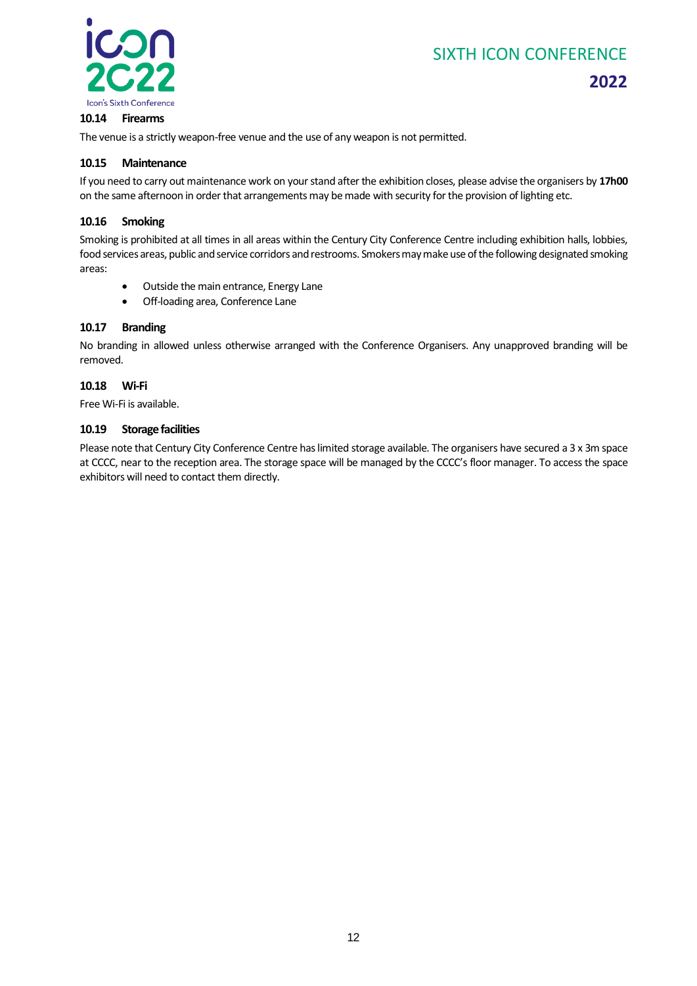

#### <span id="page-11-0"></span>**10.14 Firearms**

The venue is a strictly weapon-free venue and the use of any weapon is not permitted.

#### <span id="page-11-1"></span>**10.15 Maintenance**

If you need to carry out maintenance work on your stand after the exhibition closes, please advise the organisers by **17h00** on the same afternoon in order that arrangements may be made with security for the provision of lighting etc.

#### <span id="page-11-2"></span>**10.16 Smoking**

Smoking is prohibited at all times in all areas within the Century City Conference Centre including exhibition halls, lobbies, food services areas, public and service corridors and restrooms. Smokers may make use of the following designated smoking areas:

- Outside the main entrance, Energy Lane
- Off-loading area, Conference Lane

#### <span id="page-11-3"></span>**10.17 Branding**

No branding in allowed unless otherwise arranged with the Conference Organisers. Any unapproved branding will be removed.

#### <span id="page-11-4"></span>**10.18 Wi-Fi**

Free Wi-Fi is available.

#### <span id="page-11-5"></span>**10.19 Storage facilities**

Please note that Century City Conference Centre has limited storage available. The organisers have secured a 3 x 3m space at CCCC, near to the reception area. The storage space will be managed by the CCCC's floor manager. To access the space exhibitors will need to contact them directly.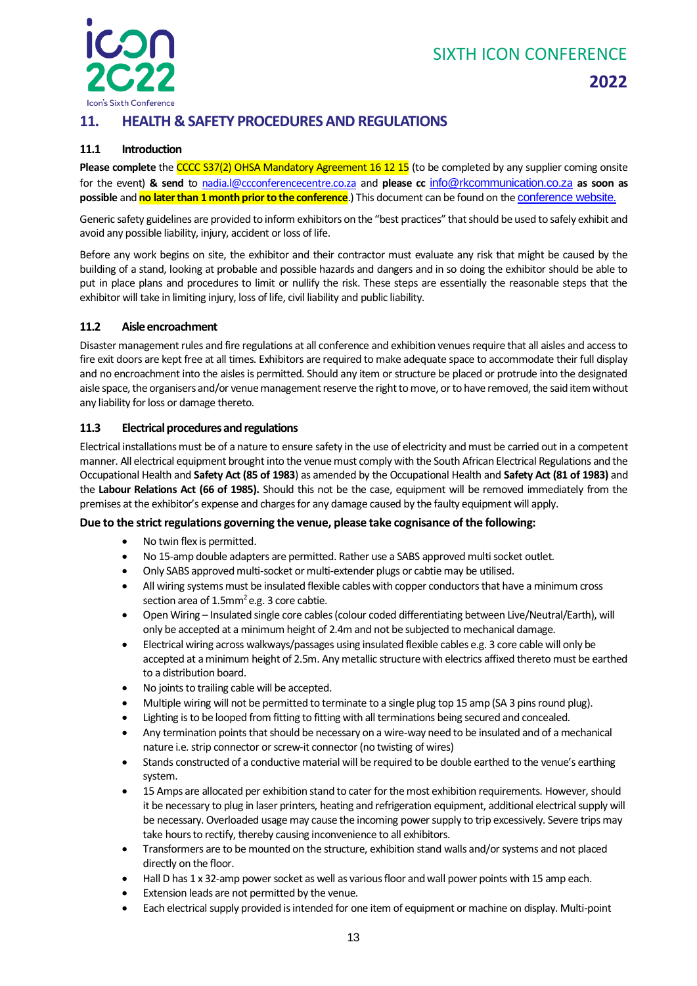

# **2022**

### <span id="page-12-0"></span>**11. HEALTH & SAFETY PROCEDURES AND REGULATIONS**

#### <span id="page-12-1"></span>**11.1 Introduction**

**Please complete** the CCCC S37(2) OHSA Mandatory Agreement 16 12 15 (to be completed by any supplier coming onsite for the event) **& send** to [nadia.l@ccconferencecentre.co.za](mailto:nadia.l@ccconferencecentre.co.za) and **please cc** [info@rkcommunication.co.z](mailto:info@rkcommunication.co.za)[a](mailto:info@rkcommunication.co.za) **as soon as possible** and **no later than 1 month prior to the conference**.) This document can be found on the [conference website.](https://www.icon2020.co.za/sponsorships)

Generic safety guidelines are provided to inform exhibitors on the "best practices" that should be used to safely exhibit and avoid any possible liability, injury, accident or loss of life.

Before any work begins on site, the exhibitor and their contractor must evaluate any risk that might be caused by the building of a stand, looking at probable and possible hazards and dangers and in so doing the exhibitor should be able to put in place plans and procedures to limit or nullify the risk. These steps are essentially the reasonable steps that the exhibitor will take in limiting injury, loss of life, civil liability and public liability.

#### <span id="page-12-2"></span>**11.2 Aisle encroachment**

Disaster management rules and fire regulations at all conference and exhibition venues require that all aisles and access to fire exit doors are kept free at all times. Exhibitors are required to make adequate space to accommodate their full display and no encroachment into the aisles is permitted. Should any item or structure be placed or protrude into the designated aisle space, the organisers and/or venue management reserve the right to move, or to have removed, the said item without any liability for loss or damage thereto.

#### <span id="page-12-3"></span>**11.3 Electrical procedures and regulations**

Electrical installations must be of a nature to ensure safety in the use of electricity and must be carried out in a competent manner. All electrical equipment brought into the venue must comply with the South African Electrical Regulations and the Occupational Health and **Safety Act (85 of 1983**) as amended by the Occupational Health and **Safety Act (81 of 1983)** and the **Labour Relations Act (66 of 1985).** Should this not be the case, equipment will be removed immediately from the premises at the exhibitor's expense and charges for any damage caused by the faulty equipment will apply.

#### **Due to the strict regulations governing the venue, please take cognisance of the following:**

- No twin flex is permitted.
- No 15-amp double adapters are permitted. Rather use a SABS approved multi socket outlet.
- Only SABS approved multi-socket or multi-extender plugs or cabtie may be utilised.
- All wiring systems must be insulated flexible cables with copper conductors that have a minimum cross section area of  $1.5$ mm<sup>2</sup>e.g. 3 core cabtie.
- Open Wiring Insulated single core cables (colour coded differentiating between Live/Neutral/Earth), will only be accepted at a minimum height of 2.4m and not be subjected to mechanical damage.
- Electrical wiring across walkways/passages using insulated flexible cables e.g. 3 core cable will only be accepted at a minimum height of 2.5m. Any metallic structure with electrics affixed thereto must be earthed to a distribution board.
- No joints to trailing cable will be accepted.
- Multiple wiring will not be permitted to terminate to a single plug top 15 amp (SA 3 pins round plug).
- Lighting is to be looped from fitting to fitting with all terminations being secured and concealed.
- Any termination points that should be necessary on a wire-way need to be insulated and of a mechanical nature i.e. strip connector or screw-it connector (no twisting of wires)
- Stands constructed of a conductive material will be required to be double earthed to the venue's earthing system.
- 15 Amps are allocated per exhibition stand to cater for the most exhibition requirements. However, should it be necessary to plug in laser printers, heating and refrigeration equipment, additional electrical supply will be necessary. Overloaded usage may cause the incoming power supply to trip excessively. Severe trips may take hours to rectify, thereby causing inconvenience to all exhibitors.
- Transformers are to be mounted on the structure, exhibition stand walls and/or systems and not placed directly on the floor.
- Hall D has 1 x 32-amp power socket as well as various floor and wall power points with 15 amp each.
- Extension leads are not permitted by the venue.
- Each electrical supply provided is intended for one item of equipment or machine on display. Multi-point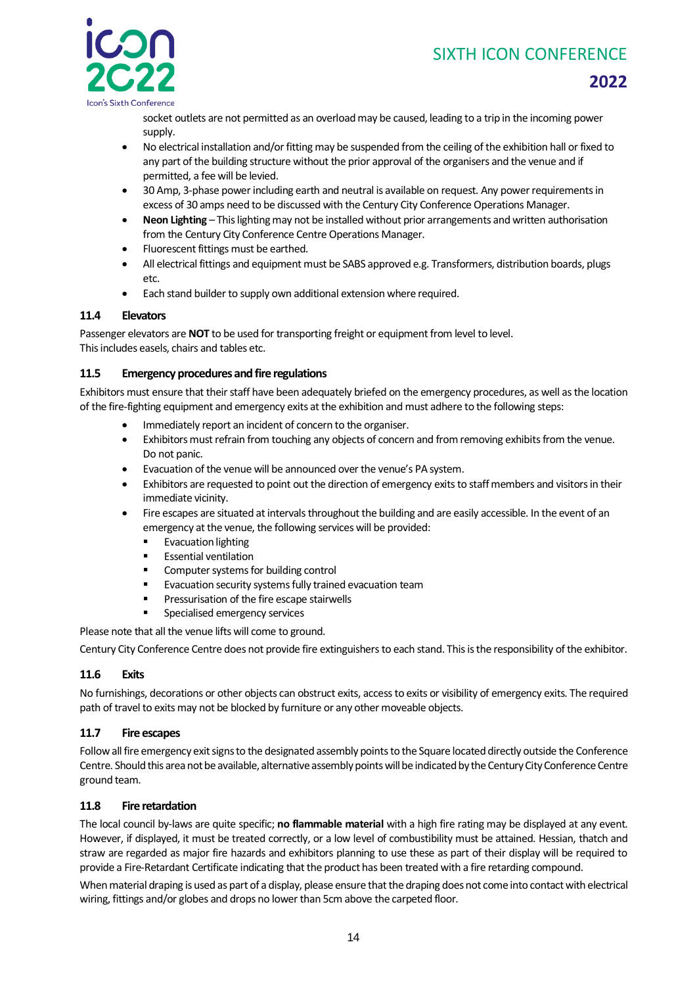

**2022**

socket outlets are not permitted as an overload may be caused, leading to a trip in the incoming power supply.

- No electrical installation and/or fitting may be suspended from the ceiling of the exhibition hall or fixed to any part of the building structure without the prior approval of the organisers and the venue and if permitted, a fee will be levied.
- 30 Amp, 3-phase power including earth and neutral is available on request. Any power requirements in excess of 30 amps need to be discussed with the Century City Conference Operations Manager.
- **Neon Lighting** This lighting may not be installed without prior arrangements and written authorisation from the Century City Conference Centre Operations Manager.
- Fluorescent fittings must be earthed.
- All electrical fittings and equipment must be SABS approved e.g. Transformers, distribution boards, plugs etc.
- Each stand builder to supply own additional extension where required.

#### <span id="page-13-0"></span>**11.4 Elevators**

Passenger elevators are **NOT** to be used for transporting freight or equipment from level to level. This includes easels, chairs and tables etc.

#### <span id="page-13-1"></span>**11.5 Emergency procedures and fire regulations**

Exhibitors must ensure that their staff have been adequately briefed on the emergency procedures, as well as the location of the fire-fighting equipment and emergency exits at the exhibition and must adhere to the following steps:

- Immediately report an incident of concern to the organiser.
- Exhibitors must refrain from touching any objects of concern and from removing exhibits from the venue. Do not panic.
- Evacuation of the venue will be announced over the venue's PA system.
- Exhibitors are requested to point out the direction of emergency exits to staff members and visitors in their immediate vicinity.
- Fire escapes are situated at intervals throughout the building and are easily accessible. In the event of an emergency at the venue, the following services will be provided:
	- Evacuation lighting
	- **Essential ventilation**
	- Computer systems for building control
	- Evacuation security systems fully trained evacuation team
	- Pressurisation of the fire escape stairwells
	- Specialised emergency services

Please note that all the venue lifts will come to ground.

Century City Conference Centre does not provide fire extinguishers to each stand. This is the responsibility of the exhibitor.

#### <span id="page-13-2"></span>**11.6 Exits**

No furnishings, decorations or other objects can obstruct exits, access to exits or visibility of emergency exits. The required path of travel to exits may not be blocked by furniture or any other moveable objects.

#### <span id="page-13-3"></span>**11.7 Fire escapes**

Follow all fire emergency exit signs to the designated assembly points to the Square located directly outside the Conference Centre. Should this area not be available, alternative assembly points will be indicated by the Century City Conference Centre ground team.

#### <span id="page-13-4"></span>**11.8 Fire retardation**

The local council by-laws are quite specific; **no flammable material** with a high fire rating may be displayed at any event. However, if displayed, it must be treated correctly, or a low level of combustibility must be attained. Hessian, thatch and straw are regarded as major fire hazards and exhibitors planning to use these as part of their display will be required to provide a Fire-Retardant Certificate indicating that the product has been treated with a fire retarding compound.

When material draping is used as part of a display, please ensure that the draping does not come into contact with electrical wiring, fittings and/or globes and drops no lower than 5cm above the carpeted floor.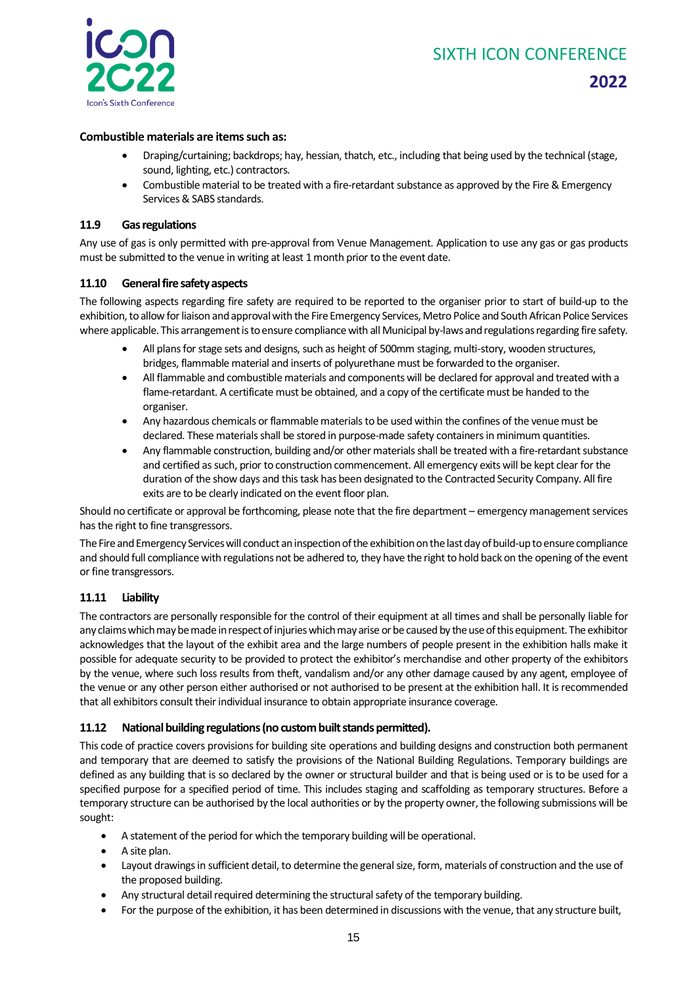

# **2022**

#### **Combustible materials are items such as:**

- Draping/curtaining; backdrops; hay, hessian, thatch, etc., including that being used by the technical (stage, sound, lighting, etc.) contractors.
- Combustible material to be treated with a fire-retardant substance as approved by the Fire & Emergency Services & SABS standards.

#### <span id="page-14-0"></span>**11.9 Gas regulations**

Any use of gas is only permitted with pre-approval from Venue Management. Application to use any gas or gas products must be submitted to the venue in writing at least 1 month prior to the event date.

#### <span id="page-14-1"></span>**11.10 General fire safety aspects**

The following aspects regarding fire safety are required to be reported to the organiser prior to start of build-up to the exhibition, to allow for liaison and approval with the Fire Emergency Services, Metro Police and South African Police Services where applicable. This arrangement is to ensure compliance with all Municipal by-laws and regulations regarding fire safety.

- All plans for stage sets and designs, such as height of 500mm staging, multi-story, wooden structures, bridges, flammable material and inserts of polyurethane must be forwarded to the organiser.
- All flammable and combustible materials and components will be declared for approval and treated with a flame-retardant. A certificate must be obtained, and a copy of the certificate must be handed to the organiser.
- Any hazardous chemicals or flammable materials to be used within the confines of the venue must be declared. These materials shall be stored in purpose-made safety containers in minimum quantities.
- Any flammable construction, building and/or other materials shall be treated with a fire-retardant substance and certified as such, prior to construction commencement. All emergency exits will be kept clear for the duration of the show days and this task has been designated to the Contracted Security Company. All fire exits are to be clearly indicated on the event floor plan.

Should no certificate or approval be forthcoming, please note that the fire department – emergency management services has the right to fine transgressors.

The Fire and Emergency Services will conduct an inspection of the exhibition on the last day of build-up to ensurecompliance and should full compliance with regulations not be adhered to, they have the right to hold back on the opening of the event or fine transgressors.

#### <span id="page-14-2"></span>**11.11 Liability**

The contractors are personally responsible for the control of their equipment at all times and shall be personally liable for any claims which may be made in respect of injuries which may arise or be caused by the use of this equipment. The exhibitor acknowledges that the layout of the exhibit area and the large numbers of people present in the exhibition halls make it possible for adequate security to be provided to protect the exhibitor's merchandise and other property of the exhibitors by the venue, where such loss results from theft, vandalism and/or any other damage caused by any agent, employee of the venue or any other person either authorised or not authorised to be present at the exhibition hall. It is recommended that all exhibitors consult their individual insurance to obtain appropriate insurance coverage.

#### <span id="page-14-3"></span>**11.12 National building regulations(no custom built stands permitted).**

This code of practice covers provisions for building site operations and building designs and construction both permanent and temporary that are deemed to satisfy the provisions of the National Building Regulations. Temporary buildings are defined as any building that is so declared by the owner or structural builder and that is being used or is to be used for a specified purpose for a specified period of time. This includes staging and scaffolding as temporary structures. Before a temporary structure can be authorised by the local authorities or by the property owner, the following submissions will be sought:

- A statement of the period for which the temporary building will be operational.
- A site plan.
- Layout drawings in sufficient detail, to determine the general size, form, materials of construction and the use of the proposed building.
- Any structural detail required determining the structural safety of the temporary building.
- For the purpose of the exhibition, it has been determined in discussions with the venue, that any structure built,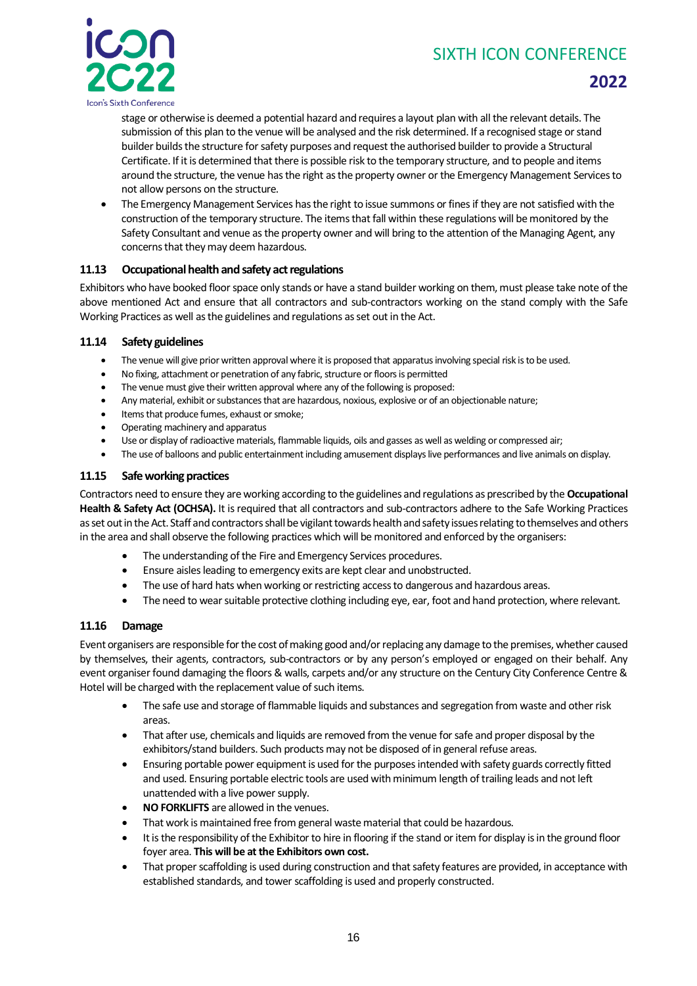

# **2022**

stage or otherwise is deemed a potential hazard and requires a layout plan with all the relevant details. The submission of this plan to the venue will be analysed and the risk determined. If a recognised stage or stand builder builds the structure for safety purposes and request the authorised builder to provide a Structural Certificate. If it is determined that there is possible risk to the temporary structure, and to people and items around the structure, the venue has the right as the property owner or the Emergency Management Services to not allow persons on the structure.

• The Emergency Management Services has the right to issue summons or fines if they are not satisfied with the construction of the temporary structure. The items that fall within these regulations will be monitored by the Safety Consultant and venue as the property owner and will bring to the attention of the Managing Agent, any concerns that they may deem hazardous.

#### <span id="page-15-0"></span>**11.13 Occupational health and safety act regulations**

Exhibitors who have booked floor space only stands or have a stand builder working on them, must please take note of the above mentioned Act and ensure that all contractors and sub-contractors working on the stand comply with the Safe Working Practices as well as the guidelines and regulations as set out in the Act.

#### <span id="page-15-1"></span>**11.14 Safety guidelines**

- The venue will give prior written approval where it is proposed that apparatus involving special risk is to be used.
- No fixing, attachment or penetration of any fabric, structure or floors is permitted
- The venue must give their written approval where any of the following is proposed:
- Any material, exhibit or substances that are hazardous, noxious, explosive or of an objectionable nature;
- Items that produce fumes, exhaust or smoke;
- Operating machinery and apparatus
- Use or display of radioactive materials, flammable liquids, oils and gasses as well as welding or compressed air;
- The use of balloons and public entertainment including amusement displays live performances and live animals on display.

#### <span id="page-15-2"></span>**11.15 Safe working practices**

Contractors need to ensure they are working according to the guidelines and regulations as prescribed by the **Occupational Health & Safety Act (OCHSA).** It is required that all contractors and sub-contractors adhere to the Safe Working Practices as set out in the Act. Staff and contractors shall be vigilant towards health and safety issues relating to themselves and others in the area and shall observe the following practices which will be monitored and enforced by the organisers:

- The understanding of the Fire and Emergency Services procedures.
- Ensure aisles leading to emergency exits are kept clear and unobstructed.
- The use of hard hats when working or restricting access to dangerous and hazardous areas.
- The need to wear suitable protective clothing including eye, ear, foot and hand protection, where relevant.

#### <span id="page-15-3"></span>**11.16 Damage**

Event organisers are responsible for the cost of making good and/or replacing any damage to the premises, whether caused by themselves, their agents, contractors, sub-contractors or by any person's employed or engaged on their behalf. Any event organiser found damaging the floors & walls, carpets and/or any structure on the Century City Conference Centre & Hotel will be charged with the replacement value of such items.

- The safe use and storage of flammable liquids and substances and segregation from waste and other risk areas.
- That after use, chemicals and liquids are removed from the venue for safe and proper disposal by the exhibitors/stand builders. Such products may not be disposed of in general refuse areas.
- Ensuring portable power equipment is used for the purposes intended with safety guards correctly fitted and used. Ensuring portable electric tools are used with minimum length of trailing leads and not left unattended with a live power supply.
- **NO FORKLIFTS** are allowed in the venues.
- That work is maintained free from general waste material that could be hazardous.
- It is the responsibility of the Exhibitor to hire in flooring if the stand or item for display is in the ground floor foyer area. **This will be at the Exhibitors own cost.**
- That proper scaffolding is used during construction and that safety features are provided, in acceptance with established standards, and tower scaffolding is used and properly constructed.